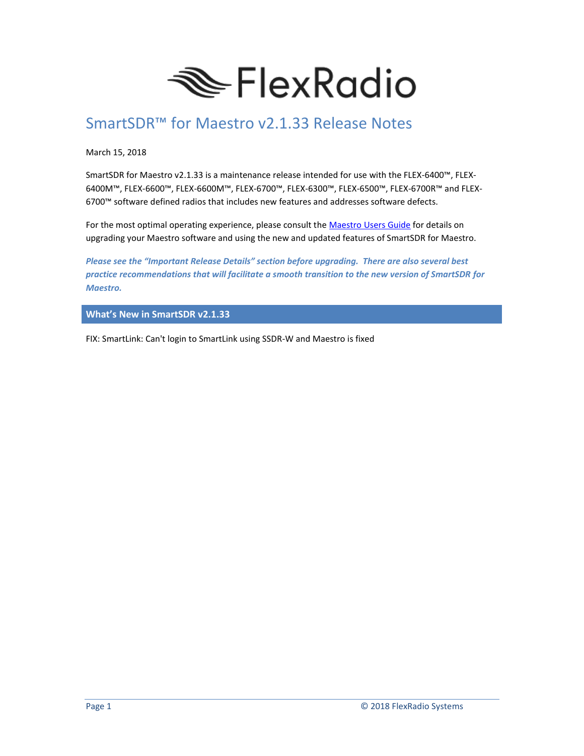

# SmartSDR™ for Maestro v2.1.33 Release Notes

March 15, 2018

SmartSDR for Maestro v2.1.33 is a maintenance release intended for use with the FLEX-6400™, FLEX-6400M™, FLEX-6600™, FLEX-6600M™, FLEX-6700™, FLEX-6300™, FLEX-6500™, FLEX-6700R™ and FLEX-6700™ software defined radios that includes new features and addresses software defects.

For the most optimal operating experience, please consult the [Maestro Users Guide](http://www.flexradio.com/downloads/maestro-user-guide-pdf/) for details on upgrading your Maestro software and using the new and updated features of SmartSDR for Maestro.

*Please see the "Important Release Details" section before upgrading. There are also several best practice recommendations that will facilitate a smooth transition to the new version of SmartSDR for Maestro.*

**What's New in SmartSDR v2.1.33**

FIX: SmartLink: Can't login to SmartLink using SSDR-W and Maestro is fixed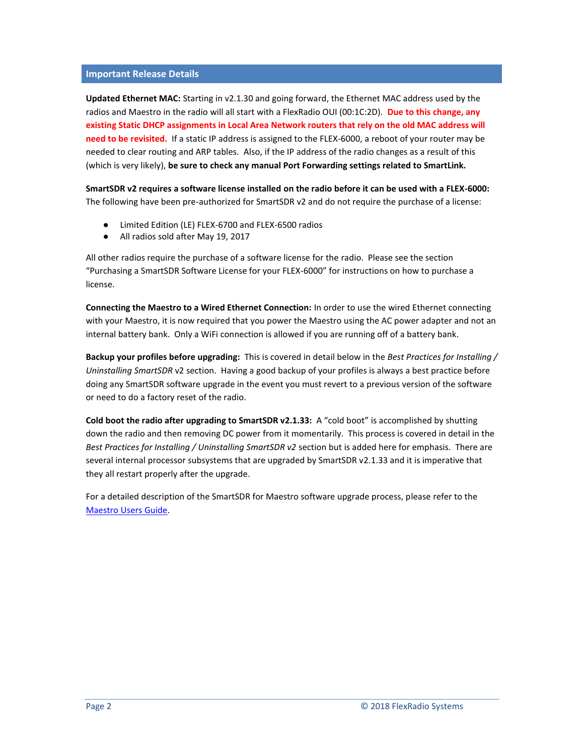#### **Important Release Details**

**Updated Ethernet MAC:** Starting in v2.1.30 and going forward, the Ethernet MAC address used by the radios and Maestro in the radio will all start with a FlexRadio OUI (00:1C:2D). **Due to this change, any existing Static DHCP assignments in Local Area Network routers that rely on the old MAC address will need to be revisited.** If a static IP address is assigned to the FLEX-6000, a reboot of your router may be needed to clear routing and ARP tables. Also, if the IP address of the radio changes as a result of this (which is very likely), **be sure to check any manual Port Forwarding settings related to SmartLink.**

**SmartSDR v2 requires a software license installed on the radio before it can be used with a FLEX-6000:** The following have been pre-authorized for SmartSDR v2 and do not require the purchase of a license:

- Limited Edition (LE) FLEX-6700 and FLEX-6500 radios
- All radios sold after May 19, 2017

All other radios require the purchase of a software license for the radio. Please see the section "Purchasing a SmartSDR Software License for your FLEX-6000" for instructions on how to purchase a license.

**Connecting the Maestro to a Wired Ethernet Connection:** In order to use the wired Ethernet connecting with your Maestro, it is now required that you power the Maestro using the AC power adapter and not an internal battery bank. Only a WiFi connection is allowed if you are running off of a battery bank.

**Backup your profiles before upgrading:** This is covered in detail below in the *Best Practices for Installing / Uninstalling SmartSDR* v2 section. Having a good backup of your profiles is always a best practice before doing any SmartSDR software upgrade in the event you must revert to a previous version of the software or need to do a factory reset of the radio.

**Cold boot the radio after upgrading to SmartSDR v2.1.33:** A "cold boot" is accomplished by shutting down the radio and then removing DC power from it momentarily. This process is covered in detail in the *Best Practices for Installing / Uninstalling SmartSDR v2* section but is added here for emphasis. There are several internal processor subsystems that are upgraded by SmartSDR v2.1.33 and it is imperative that they all restart properly after the upgrade.

For a detailed description of the SmartSDR for Maestro software upgrade process, please refer to the [Maestro Users Guide.](http://www.flexradio.com/downloads/maestro-user-guide-pdf/)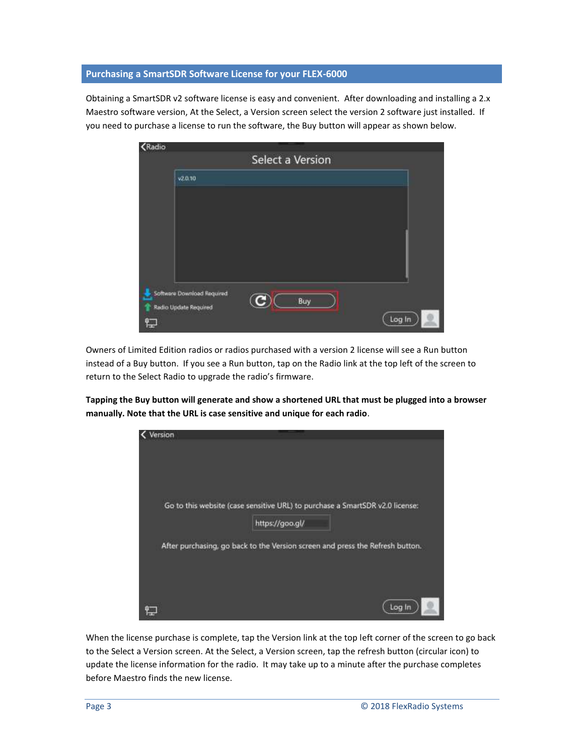# **Purchasing a SmartSDR Software License for your FLEX-6000**

Obtaining a SmartSDR v2 software license is easy and convenient. After downloading and installing a 2.x Maestro software version, At the Select, a Version screen select the version 2 software just installed. If you need to purchase a license to run the software, the Buy button will appear as shown below.

| <b>Kadio</b> |                            |                  |        |
|--------------|----------------------------|------------------|--------|
|              |                            | Select a Version |        |
|              | v2.0, 10                   |                  |        |
|              |                            |                  |        |
|              |                            |                  |        |
|              |                            |                  |        |
|              |                            |                  |        |
|              |                            |                  |        |
|              | Software Download Required |                  |        |
|              | Radio Update Required      | Buy              |        |
| ť.           |                            |                  | Log In |

Owners of Limited Edition radios or radios purchased with a version 2 license will see a Run button instead of a Buy button. If you see a Run button, tap on the Radio link at the top left of the screen to return to the Select Radio to upgrade the radio's firmware.

**Tapping the Buy button will generate and show a shortened URL that must be plugged into a browser manually. Note that the URL is case sensitive and unique for each radio**.



When the license purchase is complete, tap the Version link at the top left corner of the screen to go back to the Select a Version screen. At the Select, a Version screen, tap the refresh button (circular icon) to update the license information for the radio. It may take up to a minute after the purchase completes before Maestro finds the new license.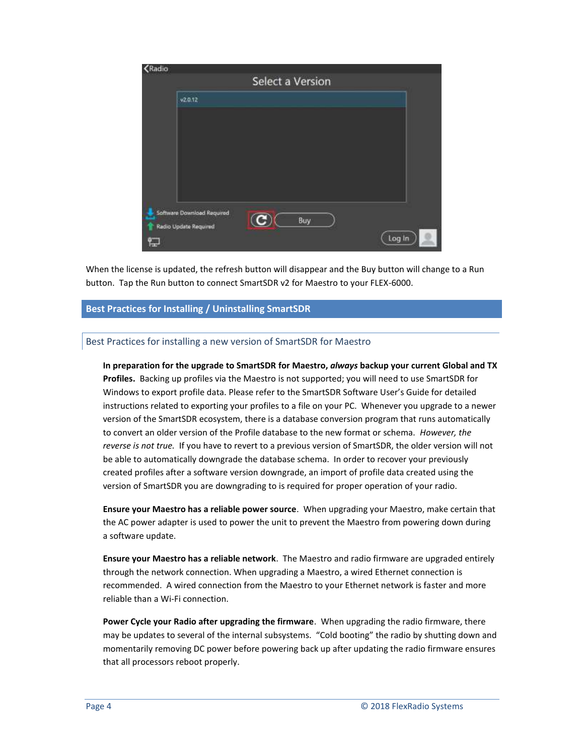| <b>K</b> Radio |                                                     | Select a Version |        |
|----------------|-----------------------------------------------------|------------------|--------|
|                | V2.0.12                                             |                  |        |
|                |                                                     |                  |        |
|                |                                                     |                  |        |
|                |                                                     |                  |        |
|                |                                                     |                  |        |
|                |                                                     |                  |        |
|                | Software Download Required<br>Radio Update Required | Buy              |        |
|                |                                                     |                  | Log In |

When the license is updated, the refresh button will disappear and the Buy button will change to a Run button. Tap the Run button to connect SmartSDR v2 for Maestro to your FLEX-6000.

# **Best Practices for Installing / Uninstalling SmartSDR**

## Best Practices for installing a new version of SmartSDR for Maestro

**In preparation for the upgrade to SmartSDR for Maestro,** *always* **backup your current Global and TX Profiles.** Backing up profiles via the Maestro is not supported; you will need to use SmartSDR for Windows to export profile data. Please refer to the SmartSDR Software User's Guide for detailed instructions related to exporting your profiles to a file on your PC. Whenever you upgrade to a newer version of the SmartSDR ecosystem, there is a database conversion program that runs automatically to convert an older version of the Profile database to the new format or schema. *However, the reverse is not true.* If you have to revert to a previous version of SmartSDR, the older version will not be able to automatically downgrade the database schema. In order to recover your previously created profiles after a software version downgrade, an import of profile data created using the version of SmartSDR you are downgrading to is required for proper operation of your radio.

**Ensure your Maestro has a reliable power source**. When upgrading your Maestro, make certain that the AC power adapter is used to power the unit to prevent the Maestro from powering down during a software update.

**Ensure your Maestro has a reliable network**. The Maestro and radio firmware are upgraded entirely through the network connection. When upgrading a Maestro, a wired Ethernet connection is recommended. A wired connection from the Maestro to your Ethernet network is faster and more reliable than a Wi-Fi connection.

**Power Cycle your Radio after upgrading the firmware**. When upgrading the radio firmware, there may be updates to several of the internal subsystems. "Cold booting" the radio by shutting down and momentarily removing DC power before powering back up after updating the radio firmware ensures that all processors reboot properly.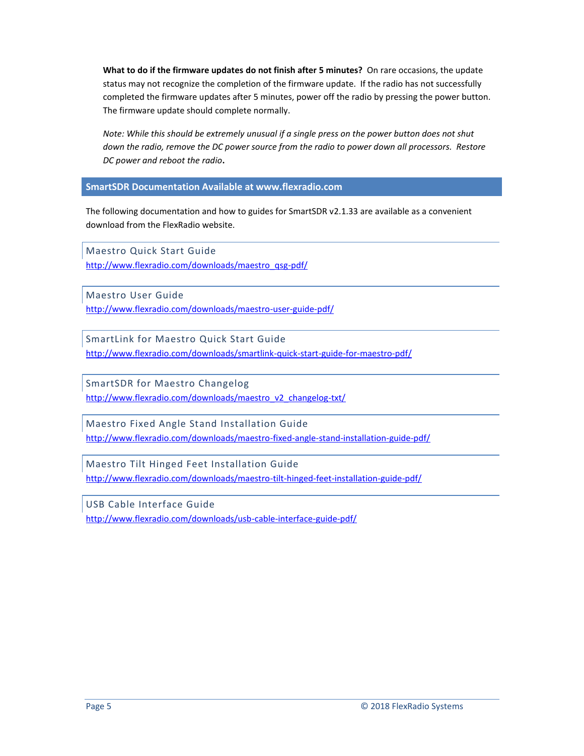**What to do if the firmware updates do not finish after 5 minutes?** On rare occasions, the update status may not recognize the completion of the firmware update. If the radio has not successfully completed the firmware updates after 5 minutes, power off the radio by pressing the power button. The firmware update should complete normally.

*Note: While this should be extremely unusual if a single press on the power button does not shut down the radio, remove the DC power source from the radio to power down all processors. Restore DC power and reboot the radio***.**

**SmartSDR Documentation Available at www.flexradio.com**

The following documentation and how to guides for SmartSDR v2.1.33 are available as a convenient download from the FlexRadio website.

Maestro Quick Start Guide [http://www.flexradio.com/downloads/maestro\\_qsg-pdf/](http://www.flexradio.com/downloads/maestro_qsg-pdf/)

Maestro User Guide

<http://www.flexradio.com/downloads/maestro-user-guide-pdf/>

SmartLink for Maestro Quick Start Guide <http://www.flexradio.com/downloads/smartlink-quick-start-guide-for-maestro-pdf/>

SmartSDR for Maestro Changelog [http://www.flexradio.com/downloads/maestro\\_v2\\_changelog-txt/](http://www.flexradio.com/downloads/maestro_v2_changelog-txt/)

Maestro Fixed Angle Stand Installation Guide <http://www.flexradio.com/downloads/maestro-fixed-angle-stand-installation-guide-pdf/>

Maestro Tilt Hinged Feet Installation Guide <http://www.flexradio.com/downloads/maestro-tilt-hinged-feet-installation-guide-pdf/>

USB Cable Interface Guide <http://www.flexradio.com/downloads/usb-cable-interface-guide-pdf/>